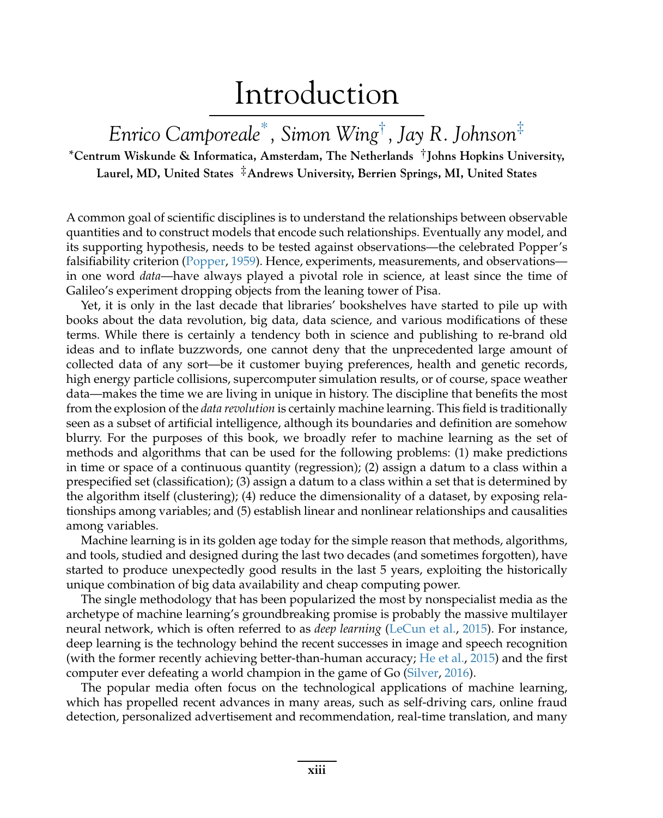# <span id="page-0-2"></span><span id="page-0-1"></span>Introduction

# *Enrico Camporeale*[\\*](#page-0-0)*, Simon Wing*[†](#page-0-1)*, Jay R. Johnson*[‡](#page-0-2)

<span id="page-0-0"></span>\***Centrum Wiskunde & Informatica, Amsterdam, The Netherlands** †**Johns Hopkins University, Laurel, MD, United States** ‡**Andrews University, Berrien Springs, MI, United States**

A common goal of scientific disciplines is to understand the relationships between observable quantities and to construct models that encode such relationships. Eventually any model, and its supporting hypothesis, needs to be tested against observations—the celebrated Popper's falsifiability criterion [\(Popper,](#page-5-0) [1959\)](#page-5-0). Hence, experiments, measurements, and observations in one word *data*—have always played a pivotal role in science, at least since the time of Galileo's experiment dropping objects from the leaning tower of Pisa.

Yet, it is only in the last decade that libraries' bookshelves have started to pile up with books about the data revolution, big data, data science, and various modifications of these terms. While there is certainly a tendency both in science and publishing to re-brand old ideas and to inflate buzzwords, one cannot deny that the unprecedented large amount of collected data of any sort—be it customer buying preferences, health and genetic records, high energy particle collisions, supercomputer simulation results, or of course, space weather data—makes the time we are living in unique in history. The discipline that benefits the most from the explosion of the *data revolution* is certainly machine learning. This field is traditionally seen as a subset of artificial intelligence, although its boundaries and definition are somehow blurry. For the purposes of this book, we broadly refer to machine learning as the set of methods and algorithms that can be used for the following problems: (1) make predictions in time or space of a continuous quantity (regression); (2) assign a datum to a class within a prespecified set (classification); (3) assign a datum to a class within a set that is determined by the algorithm itself (clustering); (4) reduce the dimensionality of a dataset, by exposing relationships among variables; and (5) establish linear and nonlinear relationships and causalities among variables.

Machine learning is in its golden age today for the simple reason that methods, algorithms, and tools, studied and designed during the last two decades (and sometimes forgotten), have started to produce unexpectedly good results in the last 5 years, exploiting the historically unique combination of big data availability and cheap computing power.

The single methodology that has been popularized the most by nonspecialist media as the archetype of machine learning's groundbreaking promise is probably the massive multilayer neural network, which is often referred to as *deep learning* [\(LeCun et al.,](#page-5-1) [2015\)](#page-5-1). For instance, deep learning is the technology behind the recent successes in image and speech recognition (with the former recently achieving better-than-human accuracy; [He et al.,](#page-5-2) [2015\)](#page-5-2) and the first computer ever defeating a world champion in the game of Go [\(Silver,](#page-5-3) [2016\)](#page-5-3).

The popular media often focus on the technological applications of machine learning, which has propelled recent advances in many areas, such as self-driving cars, online fraud detection, personalized advertisement and recommendation, real-time translation, and many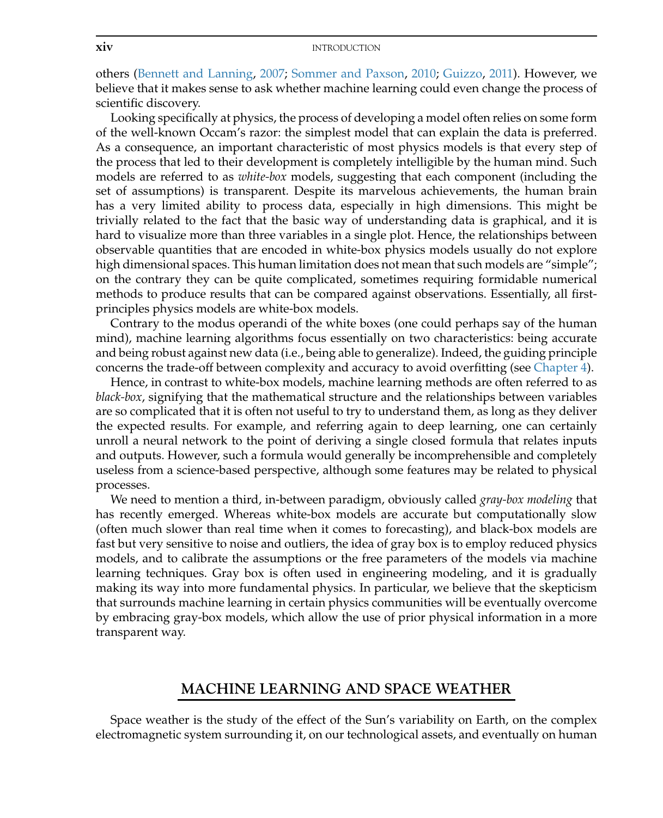#### **xiv** INTRODUCTION

others [\(Bennett and Lanning,](#page-4-0) [2007;](#page-4-0) [Sommer and Paxson,](#page-5-4) [2010;](#page-5-4) [Guizzo,](#page-5-5) [2011\)](#page-5-5). However, we believe that it makes sense to ask whether machine learning could even change the process of scientific discovery.

Looking specifically at physics, the process of developing a model often relies on some form of the well-known Occam's razor: the simplest model that can explain the data is preferred. As a consequence, an important characteristic of most physics models is that every step of the process that led to their development is completely intelligible by the human mind. Such models are referred to as *white-box* models, suggesting that each component (including the set of assumptions) is transparent. Despite its marvelous achievements, the human brain has a very limited ability to process data, especially in high dimensions. This might be trivially related to the fact that the basic way of understanding data is graphical, and it is hard to visualize more than three variables in a single plot. Hence, the relationships between observable quantities that are encoded in white-box physics models usually do not explore high dimensional spaces. This human limitation does not mean that such models are "simple"; on the contrary they can be quite complicated, sometimes requiring formidable numerical methods to produce results that can be compared against observations. Essentially, all firstprinciples physics models are white-box models.

Contrary to the modus operandi of the white boxes (one could perhaps say of the human mind), machine learning algorithms focus essentially on two characteristics: being accurate and being robust against new data (i.e., being able to generalize). Indeed, the guiding principle concerns the trade-off between complexity and accuracy to avoid overfitting (see Chapter 4).

Hence, in contrast to white-box models, machine learning methods are often referred to as *black-box*, signifying that the mathematical structure and the relationships between variables are so complicated that it is often not useful to try to understand them, as long as they deliver the expected results. For example, and referring again to deep learning, one can certainly unroll a neural network to the point of deriving a single closed formula that relates inputs and outputs. However, such a formula would generally be incomprehensible and completely useless from a science-based perspective, although some features may be related to physical processes.

We need to mention a third, in-between paradigm, obviously called *gray-box modeling* that has recently emerged. Whereas white-box models are accurate but computationally slow (often much slower than real time when it comes to forecasting), and black-box models are fast but very sensitive to noise and outliers, the idea of gray box is to employ reduced physics models, and to calibrate the assumptions or the free parameters of the models via machine learning techniques. Gray box is often used in engineering modeling, and it is gradually making its way into more fundamental physics. In particular, we believe that the skepticism that surrounds machine learning in certain physics communities will be eventually overcome by embracing gray-box models, which allow the use of prior physical information in a more transparent way.

# **MACHINE LEARNING AND SPACE WEATHER**

Space weather is the study of the effect of the Sun's variability on Earth, on the complex electromagnetic system surrounding it, on our technological assets, and eventually on human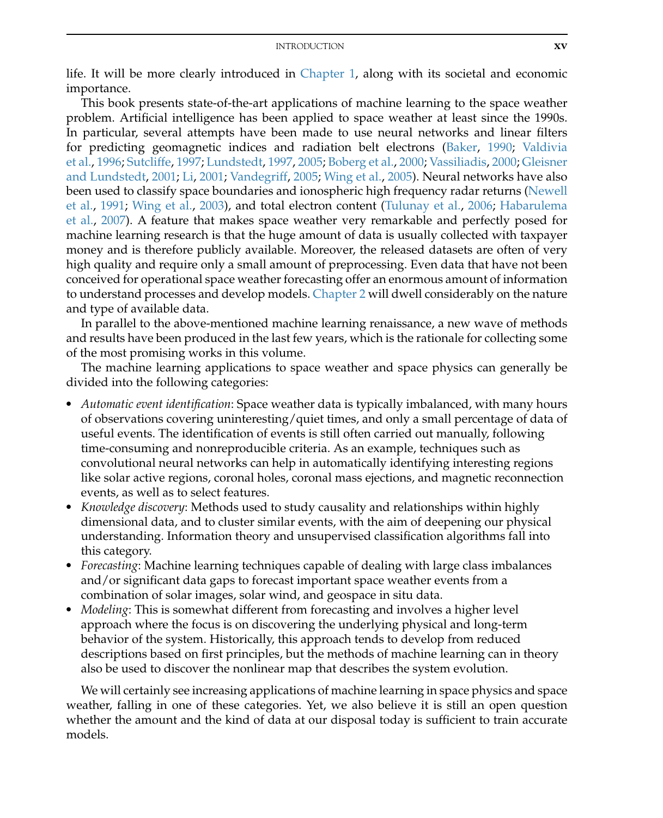#### INTRODUCTION **xv**

life. It will be more clearly introduced in Chapter 1, along with its societal and economic importance.

This book presents state-of-the-art applications of machine learning to the space weather problem. Artificial intelligence has been applied to space weather at least since the 1990s. In particular, several attempts have been made to use neural networks and linear filters [for predicting geomagnetic indices and radiation belt electrons \(Baker,](#page-5-6) [1990;](#page-4-1) Valdivia et al., [1996;](#page-5-6) [Sutcliffe,](#page-5-7) [1997;](#page-5-7) [Lundstedt,](#page-5-8) [1997,](#page-5-8) [2005;](#page-5-9) [Boberg et al.,](#page-4-2) [2000;](#page-4-2) [Vassiliadis,](#page-5-10) [2000;](#page-5-10) Gleisner and Lundstedt, [2001;](#page-5-11) [Li,](#page-5-12) [2001;](#page-5-12) [Vandegriff,](#page-5-13) [2005;](#page-5-13) [Wing et al.,](#page-5-14) [2005\). Neural networks have also](#page-5-11) [been used to classify space boundaries and ionospheric high frequency radar returns \(Newell](#page-5-15) et al., [1991;](#page-5-15) [Wing et al.,](#page-5-16) [2003\)](#page-5-16), and total electron content [\(Tulunay et al.,](#page-5-17) [2006;](#page-5-17) Habarulema et al., [2007\). A feature that makes space weather very remarkable and perfectly posed for](#page-5-18) machine learning research is that the huge amount of data is usually collected with taxpayer money and is therefore publicly available. Moreover, the released datasets are often of very high quality and require only a small amount of preprocessing. Even data that have not been conceived for operational space weather forecasting offer an enormous amount of information to understand processes and develop models. Chapter 2 will dwell considerably on the nature and type of available data.

In parallel to the above-mentioned machine learning renaissance, a new wave of methods and results have been produced in the last few years, which is the rationale for collecting some of the most promising works in this volume.

The machine learning applications to space weather and space physics can generally be divided into the following categories:

- *Automatic event identification*: Space weather data is typically imbalanced, with many hours of observations covering uninteresting/quiet times, and only a small percentage of data of useful events. The identification of events is still often carried out manually, following time-consuming and nonreproducible criteria. As an example, techniques such as convolutional neural networks can help in automatically identifying interesting regions like solar active regions, coronal holes, coronal mass ejections, and magnetic reconnection events, as well as to select features.
- *Knowledge discovery*: Methods used to study causality and relationships within highly dimensional data, and to cluster similar events, with the aim of deepening our physical understanding. Information theory and unsupervised classification algorithms fall into this category.
- *Forecasting*: Machine learning techniques capable of dealing with large class imbalances and/or significant data gaps to forecast important space weather events from a combination of solar images, solar wind, and geospace in situ data.
- *Modeling*: This is somewhat different from forecasting and involves a higher level approach where the focus is on discovering the underlying physical and long-term behavior of the system. Historically, this approach tends to develop from reduced descriptions based on first principles, but the methods of machine learning can in theory also be used to discover the nonlinear map that describes the system evolution.

We will certainly see increasing applications of machine learning in space physics and space weather, falling in one of these categories. Yet, we also believe it is still an open question whether the amount and the kind of data at our disposal today is sufficient to train accurate models.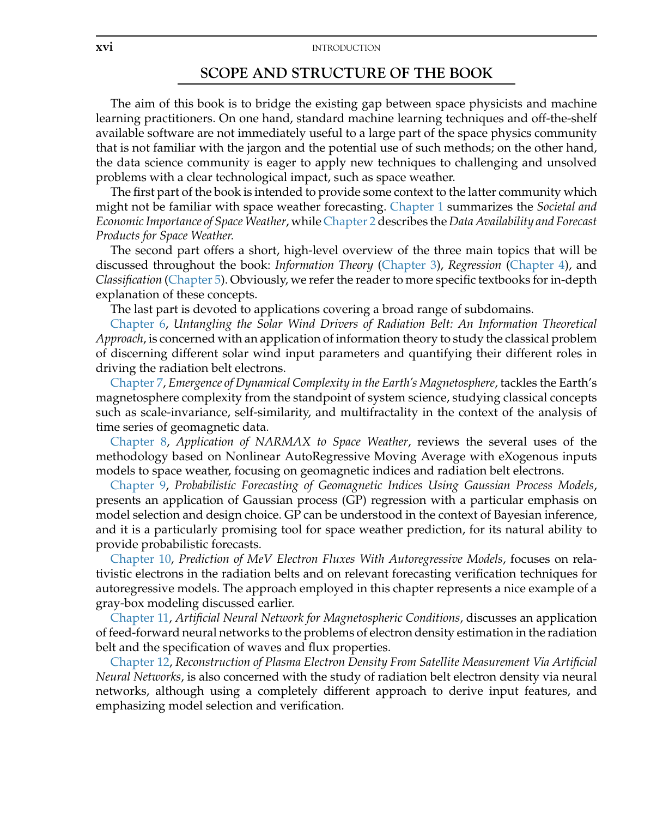# **SCOPE AND STRUCTURE OF THE BOOK**

The aim of this book is to bridge the existing gap between space physicists and machine learning practitioners. On one hand, standard machine learning techniques and off-the-shelf available software are not immediately useful to a large part of the space physics community that is not familiar with the jargon and the potential use of such methods; on the other hand, the data science community is eager to apply new techniques to challenging and unsolved problems with a clear technological impact, such as space weather.

The first part of the book is intended to provide some context to the latter community which might not be familiar with space weather forecasting. Chapter 1 summarizes the *Societal and Economic Importance of Space Weather*, while Chapter 2 describes the *Data Availability and Forecast Products for Space Weather.*

The second part offers a short, high-level overview of the three main topics that will be discussed throughout the book: *Information Theory* (Chapter 3), *Regression* (Chapter 4), and *Classification* (Chapter 5). Obviously, we refer the reader to more specific textbooks for in-depth explanation of these concepts.

The last part is devoted to applications covering a broad range of subdomains.

Chapter 6, *Untangling the Solar Wind Drivers of Radiation Belt: An Information Theoretical Approach*, is concerned with an application of information theory to study the classical problem of discerning different solar wind input parameters and quantifying their different roles in driving the radiation belt electrons.

Chapter 7, *Emergence of Dynamical Complexity in the Earth's Magnetosphere*, tackles the Earth's magnetosphere complexity from the standpoint of system science, studying classical concepts such as scale-invariance, self-similarity, and multifractality in the context of the analysis of time series of geomagnetic data.

Chapter 8, *Application of NARMAX to Space Weather*, reviews the several uses of the methodology based on Nonlinear AutoRegressive Moving Average with eXogenous inputs models to space weather, focusing on geomagnetic indices and radiation belt electrons.

Chapter 9, *Probabilistic Forecasting of Geomagnetic Indices Using Gaussian Process Models*, presents an application of Gaussian process (GP) regression with a particular emphasis on model selection and design choice. GP can be understood in the context of Bayesian inference, and it is a particularly promising tool for space weather prediction, for its natural ability to provide probabilistic forecasts.

Chapter 10, *Prediction of MeV Electron Fluxes With Autoregressive Models*, focuses on relativistic electrons in the radiation belts and on relevant forecasting verification techniques for autoregressive models. The approach employed in this chapter represents a nice example of a gray-box modeling discussed earlier.

Chapter 11, *Artificial Neural Network for Magnetospheric Conditions*, discusses an application of feed-forward neural networks to the problems of electron density estimation in the radiation belt and the specification of waves and flux properties.

Chapter 12, *Reconstruction of Plasma Electron Density From Satellite Measurement Via Artificial Neural Networks*, is also concerned with the study of radiation belt electron density via neural networks, although using a completely different approach to derive input features, and emphasizing model selection and verification.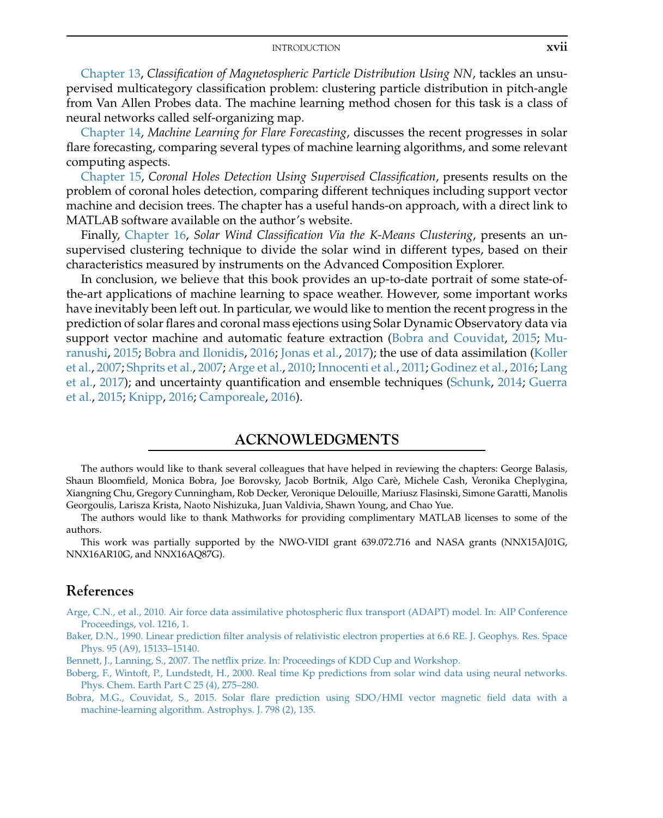#### INTRODUCTION **xvii**

Chapter 13, *Classification of Magnetospheric Particle Distribution Using NN*, tackles an unsupervised multicategory classification problem: clustering particle distribution in pitch-angle from Van Allen Probes data. The machine learning method chosen for this task is a class of neural networks called self-organizing map.

Chapter 14, *Machine Learning for Flare Forecasting*, discusses the recent progresses in solar flare forecasting, comparing several types of machine learning algorithms, and some relevant computing aspects.

Chapter 15, *Coronal Holes Detection Using Supervised Classification*, presents results on the problem of coronal holes detection, comparing different techniques including support vector machine and decision trees. The chapter has a useful hands-on approach, with a direct link to MATLAB software available on the author's website.

Finally, Chapter 16, *Solar Wind Classification Via the K-Means Clustering*, presents an unsupervised clustering technique to divide the solar wind in different types, based on their characteristics measured by instruments on the Advanced Composition Explorer.

In conclusion, we believe that this book provides an up-to-date portrait of some state-ofthe-art applications of machine learning to space weather. However, some important works have inevitably been left out. In particular, we would like to mention the recent progress in the prediction of solar flares and coronal mass ejections using Solar Dynamic Observatory data via [support vector machine and automatic feature extraction \(Bobra](#page-5-19)[and](#page-5-19)[Couvidat,](#page-5-19) [2015;](#page-4-3) Muranushi, [2015;](#page-5-19) [Bobra and Ilonidis,](#page-5-20) [2016;](#page-5-20) [Jonas et al.,](#page-5-21) [2017\); the use of data assimilation \(Koller](#page-5-22) et al., [2007;](#page-5-22) [Shprits et al.,](#page-5-23) [2007;](#page-5-23) [Arge et al.,](#page-4-4) [2010;](#page-4-4) [Innocenti et al.,](#page-5-24) [2011;](#page-5-24) [Godinez et al.,](#page-5-25) [2016;](#page-5-25) Lang et al., [2017\); and uncertainty quantification and ensemble techniques \(Schunk,](#page-5-26) [2014;](#page-5-27) Guerra et al., [2015;](#page-5-28) [Knipp,](#page-5-29) [2016;](#page-5-29) [Camporeale,](#page-5-30) [2016\)](#page-5-30).

### **ACKNOWLEDGMENTS**

The authors would like to thank several colleagues that have helped in reviewing the chapters: George Balasis, Shaun Bloomfield, Monica Bobra, Joe Borovsky, Jacob Bortnik, Algo Carè, Michele Cash, Veronika Cheplygina, Xiangning Chu, Gregory Cunningham, Rob Decker, Veronique Delouille, Mariusz Flasinski, Simone Garatti, Manolis Georgoulis, Larisza Krista, Naoto Nishizuka, Juan Valdivia, Shawn Young, and Chao Yue.

The authors would like to thank Mathworks for providing complimentary MATLAB licenses to some of the authors.

This work was partially supported by the NWO-VIDI grant 639.072.716 and NASA grants (NNX15AJ01G, NNX16AR10G, and NNX16AQ87G).

# **References**

<span id="page-4-4"></span>[Arge, C.N., et al., 2010. Air force data assimilative photospheric flux transport \(ADAPT\) model. In: AIP Conference](http://refhub.elsevier.com/B978-0-12-811788-0.09987-X/rf0010) Proceedings, vol. 1216, 1.

<span id="page-4-1"></span>[Baker, D.N., 1990. Linear prediction filter analysis of relativistic electron properties at 6.6 RE. J. Geophys. Res. Space](http://refhub.elsevier.com/B978-0-12-811788-0.09987-X/rf0015) Phys. 95 (A9), 15133–15140.

<span id="page-4-0"></span>[Bennett, J., Lanning, S., 2007. The netflix prize. In: Proceedings of KDD Cup and Workshop.](http://refhub.elsevier.com/B978-0-12-811788-0.09987-X/rf0020)

<span id="page-4-2"></span>[Boberg, F., Wintoft, P., Lundstedt, H., 2000. Real time Kp predictions from solar wind data using neural networks.](http://refhub.elsevier.com/B978-0-12-811788-0.09987-X/rf0025) Phys. Chem. Earth Part C 25 (4), 275–280.

<span id="page-4-3"></span>[Bobra, M.G., Couvidat, S., 2015. Solar flare prediction using SDO/HMI vector magnetic field data with a](http://refhub.elsevier.com/B978-0-12-811788-0.09987-X/rf0030) machine-learning algorithm. Astrophys. J. 798 (2), 135.